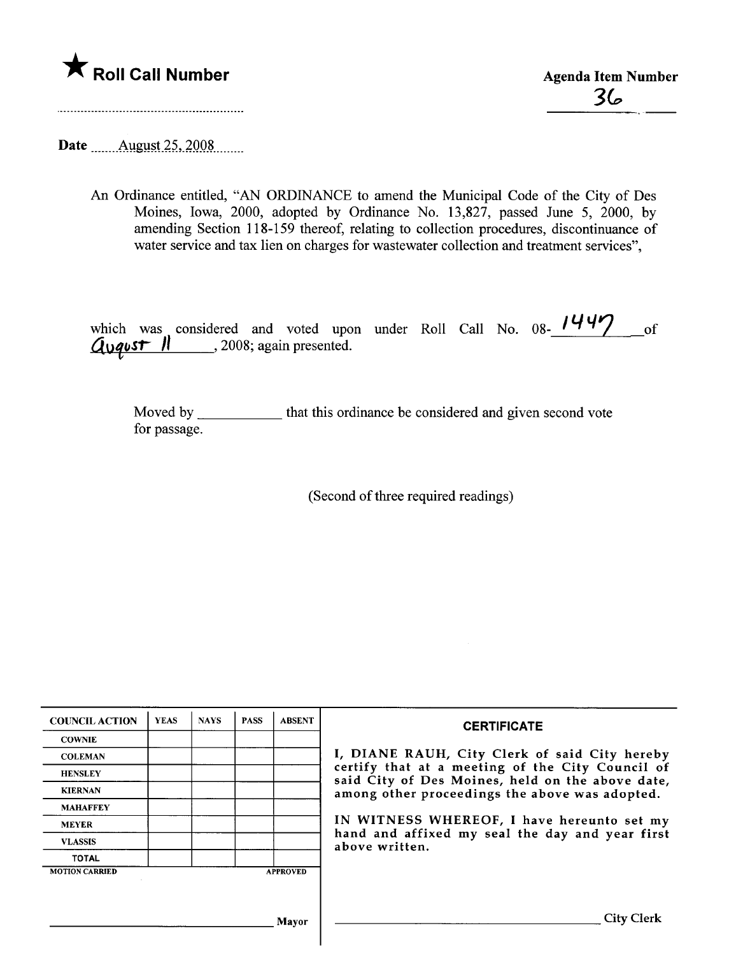

 $36$ 

Date \_\_\_\_\_\_ August 25, 2008

An Ordinance entitled, "AN ORDINANCE to amend the Municipal Code of the City of Des Moines, Iowa, 2000, adopted by Ordinance No. 13,827, passed June 5, 2000, by amending Section 118-159 thereof, relating to collection procedures, discontinuance of water service and tax lien on charges for wastewater collection and treatment services",

which was considered and voted upon under Roll Call No.  $08-\frac{1447}{100}$  of  $A_{\nu}$ qust  $\Pi$ , 2008; again presented.

Moved by \_\_\_\_\_\_\_\_\_\_\_\_ that this ordinance be considered and given second vote for passage.

(Second of three required readings)

| <b>COUNCIL ACTION</b> | <b>YEAS</b> | <b>NAYS</b> | <b>PASS</b> | <b>ABSENT</b>   | <b>CERTIFICATE</b>                                                                                                                                                                                                                                                        |  |  |  |
|-----------------------|-------------|-------------|-------------|-----------------|---------------------------------------------------------------------------------------------------------------------------------------------------------------------------------------------------------------------------------------------------------------------------|--|--|--|
| <b>COWNIE</b>         |             |             |             |                 |                                                                                                                                                                                                                                                                           |  |  |  |
| <b>COLEMAN</b>        |             |             |             |                 | I, DIANE RAUH, City Clerk of said City hereby                                                                                                                                                                                                                             |  |  |  |
| <b>HENSLEY</b>        |             |             |             |                 | certify that at a meeting of the City Council of<br>said City of Des Moines, held on the above date,<br>among other proceedings the above was adopted.<br>IN WITNESS WHEREOF, I have hereunto set my<br>hand and affixed my seal the day and year first<br>above written. |  |  |  |
| <b>KIERNAN</b>        |             |             |             |                 |                                                                                                                                                                                                                                                                           |  |  |  |
| <b>MAHAFFEY</b>       |             |             |             |                 |                                                                                                                                                                                                                                                                           |  |  |  |
| <b>MEYER</b>          |             |             |             |                 |                                                                                                                                                                                                                                                                           |  |  |  |
| <b>VLASSIS</b>        |             |             |             |                 |                                                                                                                                                                                                                                                                           |  |  |  |
| <b>TOTAL</b>          |             |             |             |                 |                                                                                                                                                                                                                                                                           |  |  |  |
| <b>MOTION CARRIED</b> |             |             |             | <b>APPROVED</b> |                                                                                                                                                                                                                                                                           |  |  |  |
|                       |             |             |             |                 |                                                                                                                                                                                                                                                                           |  |  |  |
|                       |             |             |             |                 |                                                                                                                                                                                                                                                                           |  |  |  |
| Mayor                 |             |             |             |                 | <b>City Clerk</b>                                                                                                                                                                                                                                                         |  |  |  |
|                       |             |             |             |                 |                                                                                                                                                                                                                                                                           |  |  |  |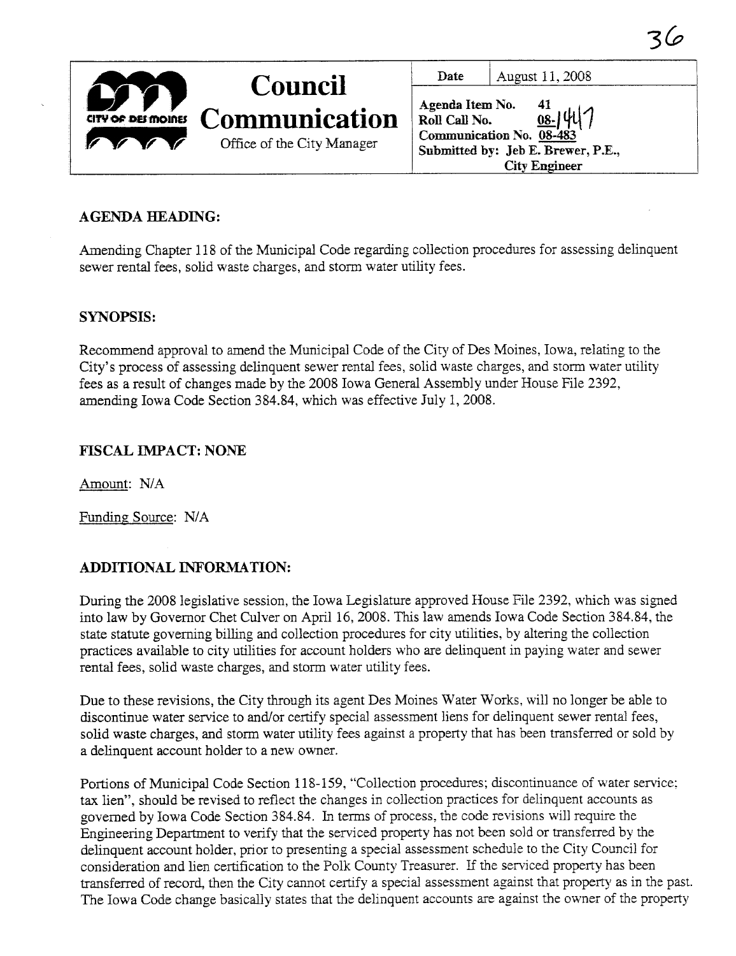|                    | <b>Council</b>             | Date                                                                                                                             | August 11, 2008      |
|--------------------|----------------------------|----------------------------------------------------------------------------------------------------------------------------------|----------------------|
|                    |                            | Agenda Item No.<br>41<br>$\frac{d}{108}$ -141<br>Roll Call No.<br>Communication No. 08-483<br>Submitted by: Jeb E. Brewer, P.E., |                      |
| CITY OF DEI MOINES | <b>Communication</b>       |                                                                                                                                  |                      |
|                    | Office of the City Manager |                                                                                                                                  |                      |
|                    |                            |                                                                                                                                  | <b>City Engineer</b> |

3(a

# AGENDA HEADING:

Amending Chapter 118 of the Municipal Code regarding collection procedures for assessing delinquent sewer rental fees, solid waste charges, and storm water utilty fees.

## SYNOPSIS:

Recommend approval to amend the Municipal Code of the City of Des Moines, Iowa, relating to the City's process of assessing delinquent sewer rental fees, solid waste charges, and storm water utility fees as a result of changes made by the 2008 Iowa General Assembly under House File 2392, amending Iowa Code Section 384.84, which was effective July 1, 2008.

## FISCAL IMPACT: NONE

Amount: N/A

Funding Source: N/A

# ADDITIONAL INFORMATION:

During the 2008 legislative session, the Iowa Legislature approved House File 2392, which was signed into law by Governor Chet Culver on April 16,2008. This law amends Iowa Code Section 384.84, the state statute governing billing and collection procedures for city utilities, by altering the collection practices available to city utilities for account holders who are delinquent in paying water and sewer rental fees, solid waste charges, and storm water utility fees.

Due to these revisions, the City through its agent Des Moines Water Works, will no longer be able to discontinue water service to and/or certify special assessment liens for delinquent sewer rental fees, solid waste charges, and storm water utility fees against a property that has been transferred or sold by a delinquent account holder to a new owner.

Portions of Municipal Code Section 118-159, "Collection procedures; discontinuance of water service; tax lien", should be revised to reflect the changes in collection practices for delinquent accounts as governed by Iowa Code Section 384.84. In terms of process, the code revisions will require the Engineering Department to verify that the serviced property has not been sold or transferred by the delinquent account holder, prior to presenting a special assessment schedule to the City Council for consideration and lien certfication to the Polk County Treasurer. If the serviced property has been transferred of record, then the City cannot certify a special assessment against that property as in the past. The Iowa Code change basically states that the delinquent accounts are against the owner of the property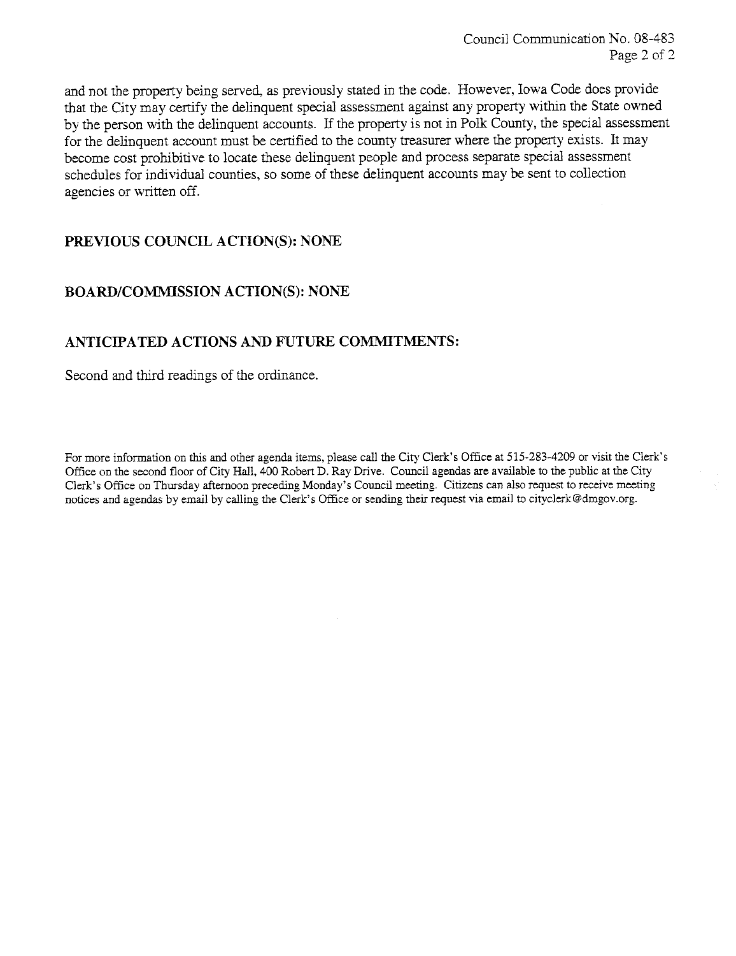and not the property being served, as previously stated in the code. However, Iowa Code does provide that the City may certify the delinquent special assessment against any property within the State owned by the person with the delinquent accounts. If the property is not in Polk County, the special assessment for the delinquent account must be certified to the county treasurer where the property exists. It may become cost prohibitive to locate these delinquent people and process separate special assessment schedules for individual counties, so some of these delinquent accounts may be sent to collection agencies or written off.

### PREVIOUS COUNCIL ACTION(S): NONE

#### BOARD/COMMISSION ACTION(S): NONE

### ANTICIPATED ACTIONS AND FUTURE COMMITMENTS:

Second and third readings of the ordinance.

For more information on this and other agenda items, please call the City Clerk's Office at 515-283-4209 or visit the Clerk's Office on the second floor of City Hall, 400 Robert D. Ray Drive. Council agendas are available to the public at the City Clerk's Office on Thursday afternoon preceding Monday's Council meeting. Citizens can also request to receive meeting notices and agendas by email by calling the Clerk's Office or sending their request via email to cityclerk@dmgov.org.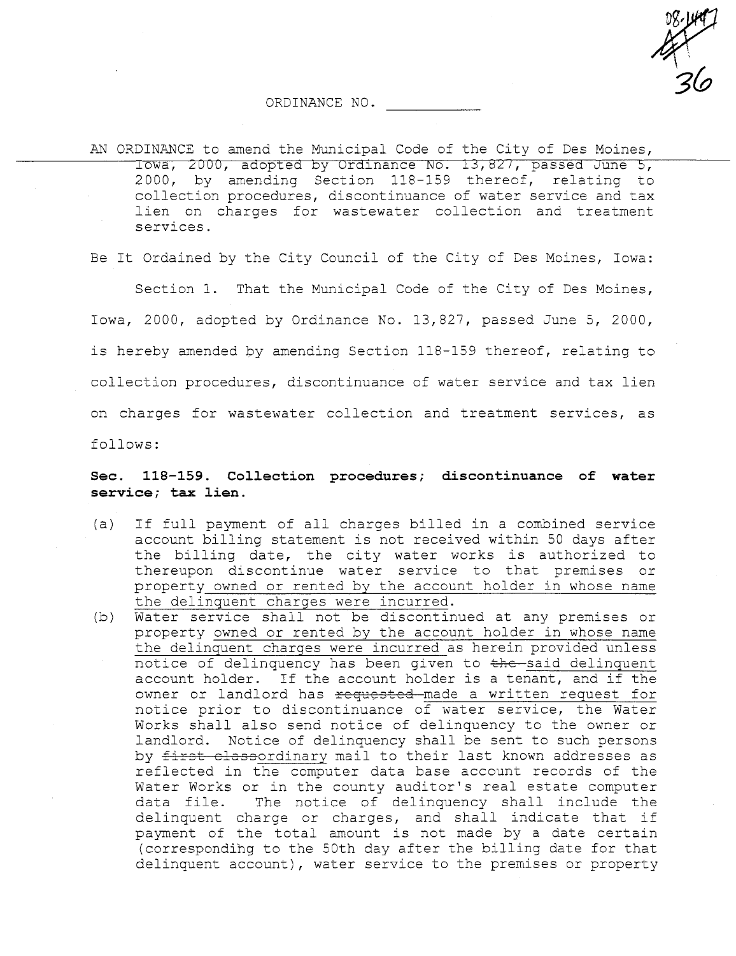es 14<br>21<br>21 3(0

#### ORDINANCE NO.

AN ORDINANCE to amend the Municipal Code of the City of Des Moines, Iowa, 2000, adopted by Ordinance No. 13,827, passed June 5, 2000, by amending Section 118-159 thereof, relating to collection procedures, discontinuance of water service and tax lien on charges for wastewater collection and treatment services.

Be It Ordained by the City Council of the City of Des Moines, Iowa:

Section 1. That the Municipal Code of the City of Des Moines, Iowa, 2000, adopted by Ordinance No. 13,827, passed June 5, 2000, is hereby amended by amending Section 118-159 thereof, relating to collection procedures, discontinuance of water service and tax lien on charges for wastewater collection and treatment services, as follows:

#### Sec. 118-159. Collection procedures; discontinuance of water service; tax lien.

- (a) If full payment of all charges billed in a combined service account billing statement is not received within 50 days after the billing date, the city water works is authorized to thereupon discontinue water service to that premises or property owned or rented by the account holder in whose name the delinquent charges were incurred.
- (b) Water service shall not be discontinued at any premises or property owned or rented by the account holder in whose name the delinquent charges were incurred as herein provided unless notice of delinquency has been given to the said delinquent account holder. If the account holder is a tenant, and if the owner or landlord has requested made a written request for notice prior to discontinuance of water service, the Water Works shall also send notice of delinquency to the owner or landlord. Notice of delinquency shall be sent to such persons by first classordinary mail to their last known addresses as reflected in the computer data base account records of the Water Works or in the county auditor's real estate computer data file. The notice of delinquency shall include the delinquent charge or charges, and shall indicate that if payment of the total amount is not made by a date certain (corresponding to the 50th day after the billing date for that delinquent account), water service to the premises or property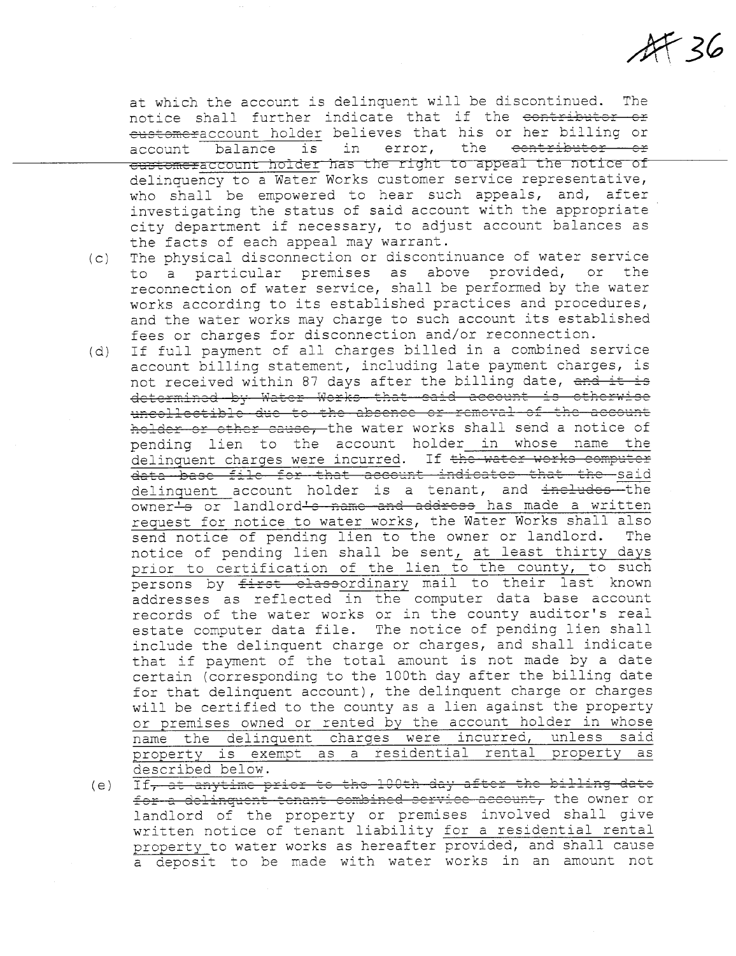$A736$ 

at which the account is delinquent will be discontinued. The notice shall further indicate that if the contributor or customeraccount holder believes that his or her billing or account balance is in error, the contributor or customeraccount holder has the right to appeal the notice of delinquency to a Water Works customer service representative, who shall be empowered to hear such appeals, and, after investigating the status of said account with the appropriate city department if necessary, to adjust account balances as the facts of each appeal may warrant.

- (c) The physical disconnection or discontinuance of water service to a particular premises as above provided, or the reconnection of water service, shall be performed by the water works according to its established practices and procedures, and the water works may charge to such account its established fees or charges for disconnection and/or reconnection.
- (d) If full payment of all charges billed in a combined service account billing statement, including late payment charges, is not received within 87 days after the billing date, and it is determined by Water Works that said account is otherwise uncollectible due to the absence or remeval of the account holder or other cause, the water works shall send a notice of pending lien to the account holder in whose name the delinquent charges were incurred. If the water works computer data base file for that account indicates that the said  $delinguent$  account holder is a tenant, and  $\frac{1}{2}$   $\frac{1}{2}$  ine owner-s or landlord-s name and address has made a written request for notice to water works, the Water Works shall also<br>send notice of pending lien to the owner or landlord. The send notice of pending lien to the owner or landlord. notice of pending lien shall be sent, at least thirty days prior to certification of the lien to the county, to such persons by first classordinary mail to their last known addresses as reflected in the computer data base account records of the water works or in the county auditor's real estate computer data file. The notice of pending lien shall include the delinquent charge or charges, and shall indicate that if payment of the total amount is not made by a date certain (corresponding to the lOOth day after the billing date for that delinquent account), the delinquent charge or charges will be certified to the county as a lien against the property<br>or premises owned or rented by the account holder in whose name the delinquent charges were incurred, unless said property is exempt as a residential rental property as described below.

(e) If<del>, at anytime prior to the 100th day after the billing date</del> for a delinguent tenant combined service account, the owner or landlord of the property or premises involved shall give written notice of tenant liability for a residential rental property to water works as hereafter provided, and shall cause a deposit to be made with water works in an amount not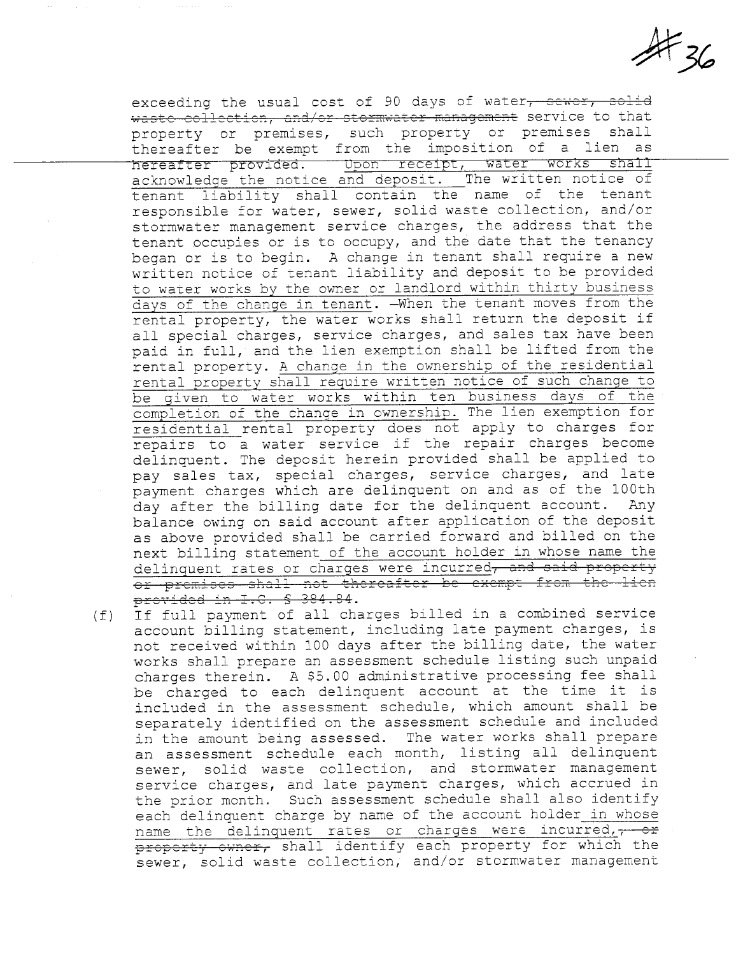$#$ 36

exceeding the usual cost of 90 days of water, sewer, solid waste collection, and/or stormwater management service to that property or premises, such property or premises shall thereafter be exempt from the imposition of a lien as hereafter provided. Upon receipt, water works shall acknowledge the notice and deposit. The written notice of tenant liability shall contain the name of the tenant responsible for water, sewer, solid waste collection, and/or stormwater management service charges, the address that the tenant occupies or is to occupy, and the date that the tenancy began or is to begin. A change in tenant shall require a new written notice of tenant liability and deposit to be provided to water works by the owner or landlord within thirty business days of the change in tenant. -When the tenant moves from the rental property, the water works shall return the deposit if all special charges, service charges, and sales tax have been paid in full, and the lien exemption shall be lifted from the rental property. A change in the ownership of the residential rental property shall require written notice of such change to be given to water works within ten business days of the completion of the change in ownership. The lien exemption for residential rental property does not apply to charges for repairs to a water service if the repair charges become delinquent. The deposit herein provided shall be applied to pay sales tax, special charges, service charges, and late payment charges which are delinquent on and as of the 100th<br>day after the billing date for the delinquent account. Any day after the billing date for the delinquent account. balance owing on said account after application of the deposit as above provided shall be carried forward and billed on the next billing statement of the account holder in whose name the delinquent rates or charges were incurred, and said property cr premises shall not thereafter be exempt from the lien provided in I.C. \$ 384.84.

(f) If full payment of all charges billed in a combined service account billing statement, including late payment charges, is not received within 100 days after the billing date, the water works shall prepare an assessment schedule listing such unpaid charges therein. A \$5.00 administrative processing fee shall be charged to each delinquent account at the time it is included in the assessment schedule, which amount shall be separately identified on the assessment schedule and included in the amount being assessed. The water works shall prepare an assessment schedule each month, listing all delinquent sewer, solid waste collection, and stormwater management service charges, and late payment charges, which accrued in the prior month. Such assessment schedule shall also identify each delinquent charge by name of the account holder in whose name the delinquent rates or charges were incurred,  $\frac{1}{\tau}$  or property owner, shall identify each property for which the sewer, solid waste collection, and/or stormwater management